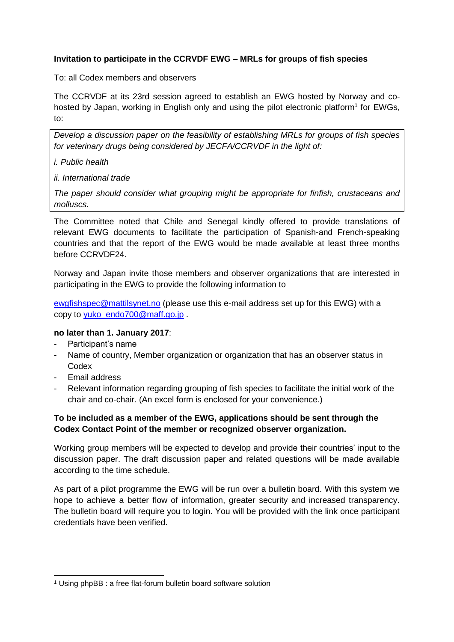## **Invitation to participate in the CCRVDF EWG – MRLs for groups of fish species**

To: all Codex members and observers

The CCRVDF at its 23rd session agreed to establish an EWG hosted by Norway and cohosted by Japan, working in English only and using the pilot electronic platform<sup>1</sup> for EWGs, to:

*Develop a discussion paper on the feasibility of establishing MRLs for groups of fish species for veterinary drugs being considered by JECFA/CCRVDF in the light of:*

- *i. Public health*
- *ii. International trade*

*The paper should consider what grouping might be appropriate for finfish, crustaceans and molluscs.*

The Committee noted that Chile and Senegal kindly offered to provide translations of relevant EWG documents to facilitate the participation of Spanish-and French-speaking countries and that the report of the EWG would be made available at least three months before CCRVDF24.

Norway and Japan invite those members and observer organizations that are interested in participating in the EWG to provide the following information to

[ewgfishspec@mattilsynet.no](mailto:ewgfishspec@mattilsynet.no) (please use this e-mail address set up for this EWG) with a copy to [yuko\\_endo700@maff.go.jp](mailto:yuko_endo700@maff.go.jp).

## **no later than 1. January 2017**:

- Participant's name
- Name of country, Member organization or organization that has an observer status in Codex
- Email address

1

- Relevant information regarding grouping of fish species to facilitate the initial work of the chair and co-chair. (An excel form is enclosed for your convenience.)

## **To be included as a member of the EWG, applications should be sent through the Codex Contact Point of the member or recognized observer organization.**

Working group members will be expected to develop and provide their countries' input to the discussion paper. The draft discussion paper and related questions will be made available according to the time schedule.

As part of a pilot programme the EWG will be run over a bulletin board. With this system we hope to achieve a better flow of information, greater security and increased transparency. The bulletin board will require you to login. You will be provided with the link once participant credentials have been verified.

<sup>1</sup> Using phpBB : a free flat-forum bulletin board software solution